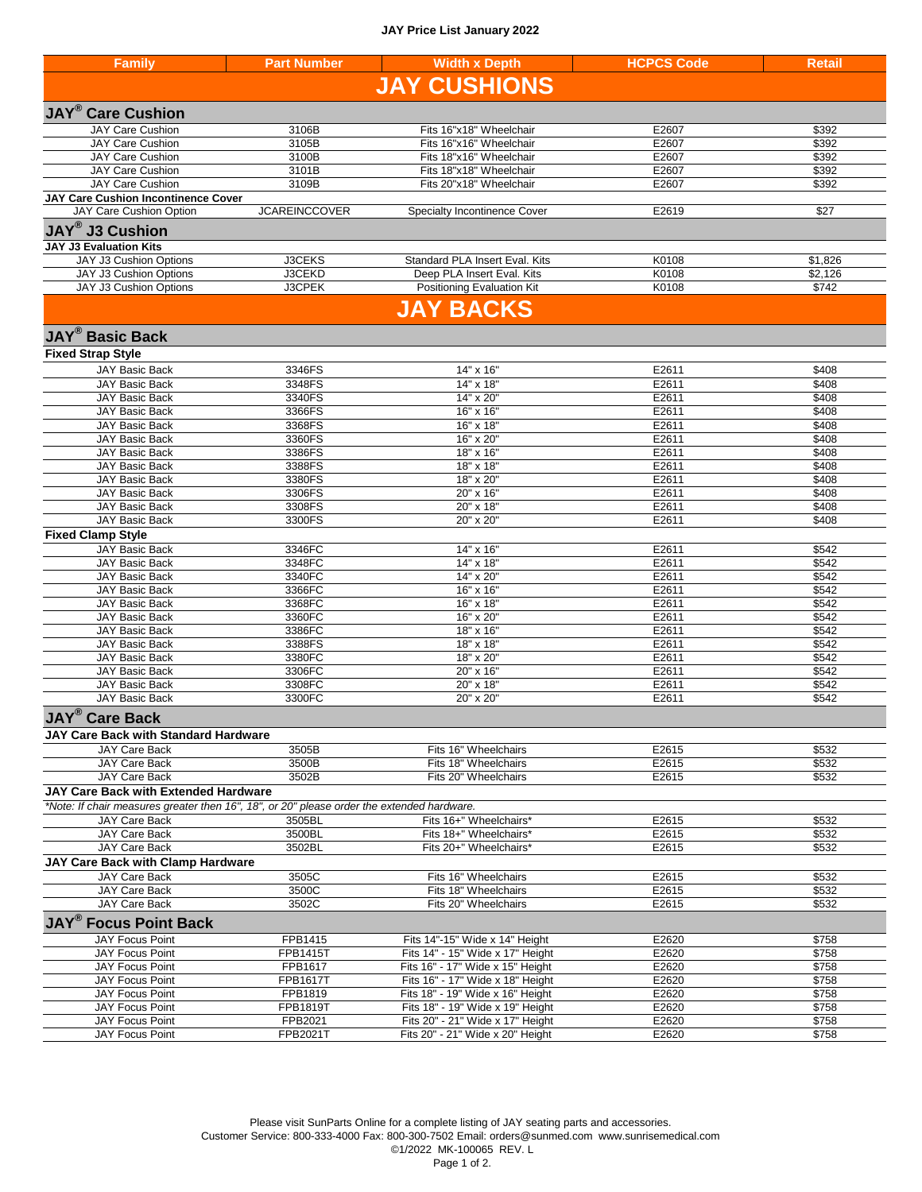## **JAY Price List January 2022**

| <b>Family</b>                                                                              | <b>Part Number</b>         | <b>Width x Depth</b>                                                 | <b>HCPCS Code</b> | <b>Retail</b>  |
|--------------------------------------------------------------------------------------------|----------------------------|----------------------------------------------------------------------|-------------------|----------------|
|                                                                                            |                            | <b>JAY CUSHIONS</b>                                                  |                   |                |
|                                                                                            |                            |                                                                      |                   |                |
| <b>JAY<sup>®</sup> Care Cushion</b>                                                        |                            |                                                                      |                   |                |
| <b>JAY Care Cushion</b>                                                                    | 3106B                      | Fits 16"x18" Wheelchair                                              | E2607             | \$392          |
| <b>JAY Care Cushion</b><br><b>JAY Care Cushion</b>                                         | 3105B<br>3100B             | Fits 16"x16" Wheelchair<br>Fits 18"x16" Wheelchair                   | E2607<br>E2607    | \$392<br>\$392 |
| <b>JAY Care Cushion</b>                                                                    | 3101B                      | Fits 18"x18" Wheelchair                                              | E2607             | \$392          |
| <b>JAY Care Cushion</b>                                                                    | 3109B                      | Fits 20"x18" Wheelchair                                              | E2607             | \$392          |
| <b>JAY Care Cushion Incontinence Cover</b>                                                 |                            |                                                                      |                   |                |
| JAY Care Cushion Option                                                                    | <b>JCAREINCCOVER</b>       | Specialty Incontinence Cover                                         | E2619             | \$27           |
| <b>JAY®</b> J3 Cushion                                                                     |                            |                                                                      |                   |                |
| <b>JAY J3 Evaluation Kits</b>                                                              |                            |                                                                      |                   |                |
| JAY J3 Cushion Options                                                                     | <b>J3CEKS</b>              | Standard PLA Insert Eval. Kits                                       | K0108             | \$1,826        |
| JAY J3 Cushion Options                                                                     | J3CEKD                     | Deep PLA Insert Eval. Kits                                           | K0108             | \$2,126        |
| JAY J3 Cushion Options                                                                     | J3CPEK                     | Positioning Evaluation Kit                                           | K0108             | \$742          |
|                                                                                            |                            | <b>JAY BACKS</b>                                                     |                   |                |
| <b>JAY<sup>®</sup> Basic Back</b>                                                          |                            |                                                                      |                   |                |
|                                                                                            |                            |                                                                      |                   |                |
| <b>Fixed Strap Style</b><br><b>JAY Basic Back</b>                                          |                            |                                                                      |                   |                |
| <b>JAY Basic Back</b>                                                                      | 3346FS<br>3348FS           | 14" x 16"<br>14" x 18"                                               | E2611<br>E2611    | \$408<br>\$408 |
| <b>JAY Basic Back</b>                                                                      | 3340FS                     | 14" x 20"                                                            | E2611             | \$408          |
| <b>JAY Basic Back</b>                                                                      | 3366FS                     | 16" x 16"                                                            | E2611             | \$408          |
| <b>JAY Basic Back</b>                                                                      | 3368FS                     | 16" x 18"                                                            | E2611             | \$408          |
| <b>JAY Basic Back</b>                                                                      | 3360FS                     | 16" x 20"                                                            | E2611             | \$408          |
| <b>JAY Basic Back</b>                                                                      | 3386FS                     | 18" x 16"                                                            | E2611             | \$408          |
| <b>JAY Basic Back</b>                                                                      | 3388FS                     | 18" x 18"                                                            | E2611             | \$408          |
| <b>JAY Basic Back</b><br><b>JAY Basic Back</b>                                             | 3380FS<br>3306FS           | 18" x 20"<br>20" x 16"                                               | E2611<br>E2611    | \$408<br>\$408 |
| <b>JAY Basic Back</b>                                                                      | 3308FS                     | 20" x 18"                                                            | E2611             | \$408          |
| <b>JAY Basic Back</b>                                                                      | 3300FS                     | 20" x 20"                                                            | E2611             | \$408          |
| <b>Fixed Clamp Style</b>                                                                   |                            |                                                                      |                   |                |
| <b>JAY Basic Back</b>                                                                      | 3346FC                     | 14" x 16"                                                            | E2611             | \$542          |
| <b>JAY Basic Back</b>                                                                      | 3348FC                     | 14" x 18"                                                            | E2611             | \$542          |
| JAY Basic Back                                                                             | 3340FC                     | 14" x 20"                                                            | E2611             | \$542          |
| <b>JAY Basic Back</b>                                                                      | 3366FC<br>3368FC           | 16" x 16"<br>16" x 18"                                               | E2611<br>E2611    | \$542<br>\$542 |
| <b>JAY Basic Back</b><br><b>JAY Basic Back</b>                                             | 3360FC                     | 16" x 20"                                                            | E2611             | \$542          |
| <b>JAY Basic Back</b>                                                                      | 3386FC                     | 18" x 16"                                                            | E2611             | \$542          |
| <b>JAY Basic Back</b>                                                                      | 3388FS                     | 18" x 18"                                                            | E2611             | \$542          |
| <b>JAY Basic Back</b>                                                                      | 3380FC                     | 18" x 20"                                                            | E2611             | \$542          |
| <b>JAY Basic Back</b>                                                                      | 3306FC                     | 20" x 16"                                                            | E2611             | \$542          |
| <b>JAY Basic Back</b>                                                                      | 3308FC                     | 20" x 18"                                                            | E2611             | \$542          |
| <b>JAY Basic Back</b>                                                                      | 3300FC                     | 20" x 20"                                                            | E2611             | \$542          |
| <b>JAY<sup>®</sup> Care Back</b>                                                           |                            |                                                                      |                   |                |
| <b>JAY Care Back with Standard Hardware</b>                                                |                            |                                                                      |                   |                |
| <b>JAY Care Back</b>                                                                       | 3505B                      | Fits 16" Wheelchairs                                                 | E2615             | \$532          |
| JAY Care Back<br>JAY Care Back                                                             | 3500B<br>3502B             | Fits 18" Wheelchairs<br>Fits 20" Wheelchairs                         | E2615<br>E2615    | \$532<br>\$532 |
| <b>JAY Care Back with Extended Hardware</b>                                                |                            |                                                                      |                   |                |
| *Note: If chair measures greater then 16", 18", or 20" please order the extended hardware. |                            |                                                                      |                   |                |
| <b>JAY Care Back</b>                                                                       | 3505BL                     | Fits 16+" Wheelchairs*                                               | E2615             | \$532          |
| JAY Care Back                                                                              | 3500BL                     | Fits 18+" Wheelchairs*                                               | E2615             | \$532          |
| JAY Care Back                                                                              | 3502BL                     | Fits 20+" Wheelchairs*                                               | E2615             | \$532          |
| JAY Care Back with Clamp Hardware                                                          |                            |                                                                      |                   |                |
| <b>JAY Care Back</b>                                                                       | 3505C                      | Fits 16" Wheelchairs                                                 | E2615             | \$532          |
| JAY Care Back                                                                              | 3500C                      | Fits 18" Wheelchairs<br>Fits 20" Wheelchairs                         | E2615             | \$532          |
| JAY Care Back                                                                              | 3502C                      |                                                                      | E2615             | \$532          |
| <b>JAY<sup>®</sup> Focus Point Back</b>                                                    |                            |                                                                      |                   |                |
| JAY Focus Point                                                                            | FPB1415                    | Fits 14"-15" Wide x 14" Height                                       | E2620             | \$758          |
| <b>JAY Focus Point</b><br><b>JAY Focus Point</b>                                           | <b>FPB1415T</b><br>FPB1617 | Fits 14" - 15" Wide x 17" Height<br>Fits 16" - 17" Wide x 15" Height | E2620<br>E2620    | \$758<br>\$758 |
| <b>JAY Focus Point</b>                                                                     | FPB1617T                   | Fits 16" - 17" Wide x 18" Height                                     | E2620             | \$758          |
| <b>JAY Focus Point</b>                                                                     | FPB1819                    | Fits 18" - 19" Wide x 16" Height                                     | E2620             | \$758          |
| <b>JAY Focus Point</b>                                                                     | FPB1819T                   | Fits 18" - 19" Wide x 19" Height                                     | E2620             | \$758          |
| JAY Focus Point                                                                            | FPB2021                    | Fits 20" - 21" Wide x 17" Height                                     | E2620             | \$758          |
| JAY Focus Point                                                                            | FPB2021T                   | Fits 20" - 21" Wide x 20" Height                                     | E2620             | \$758          |